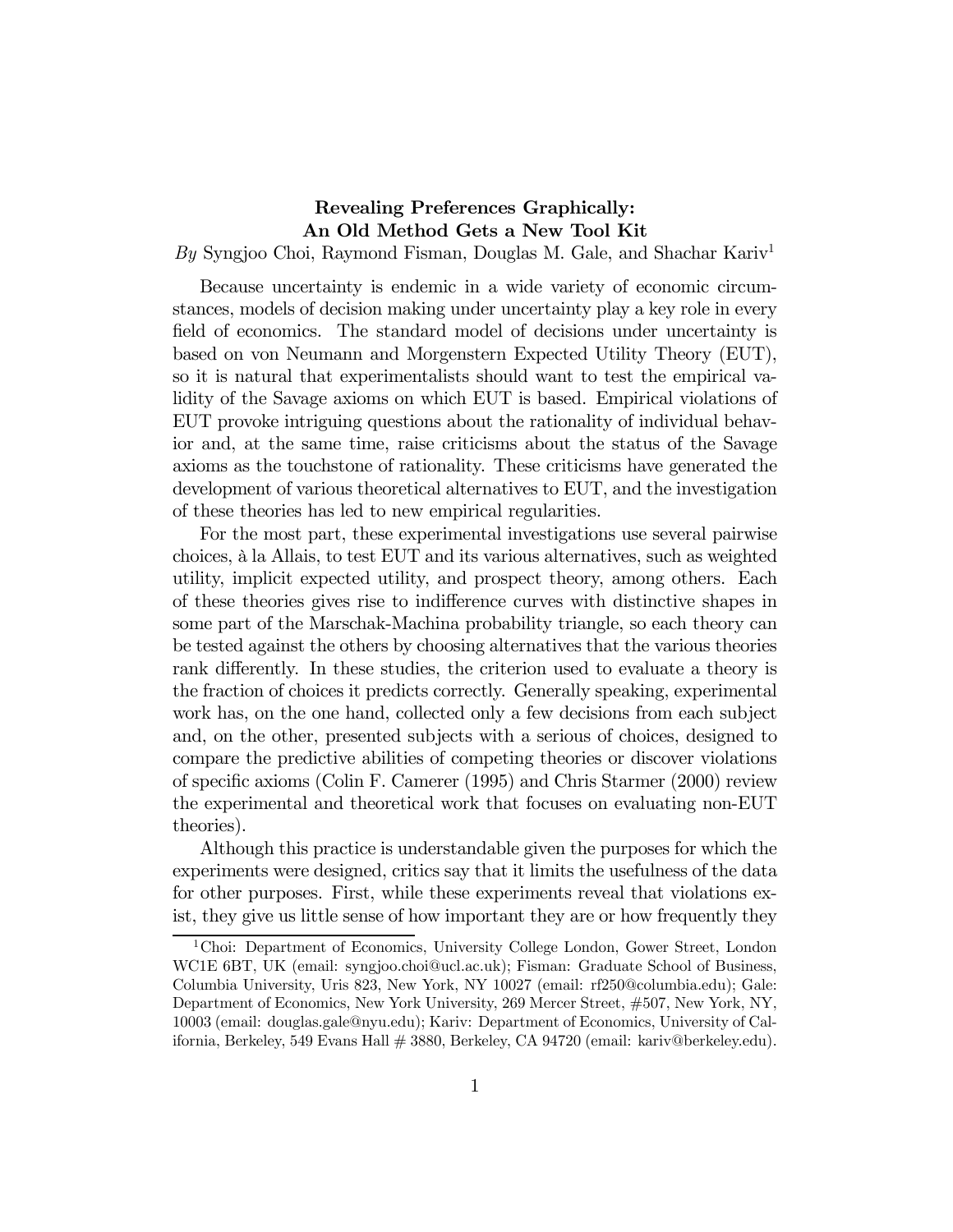# Revealing Preferences Graphically: An Old Method Gets a New Tool Kit

By Syngjoo Choi, Raymond Fisman, Douglas M. Gale, and Shachar Kariv<sup>1</sup>

Because uncertainty is endemic in a wide variety of economic circumstances, models of decision making under uncertainty play a key role in every field of economics. The standard model of decisions under uncertainty is based on von Neumann and Morgenstern Expected Utility Theory (EUT), so it is natural that experimentalists should want to test the empirical validity of the Savage axioms on which EUT is based. Empirical violations of EUT provoke intriguing questions about the rationality of individual behavior and, at the same time, raise criticisms about the status of the Savage axioms as the touchstone of rationality. These criticisms have generated the development of various theoretical alternatives to EUT, and the investigation of these theories has led to new empirical regularities.

For the most part, these experimental investigations use several pairwise choices, à la Allais, to test EUT and its various alternatives, such as weighted utility, implicit expected utility, and prospect theory, among others. Each of these theories gives rise to indifference curves with distinctive shapes in some part of the Marschak-Machina probability triangle, so each theory can be tested against the others by choosing alternatives that the various theories rank differently. In these studies, the criterion used to evaluate a theory is the fraction of choices it predicts correctly. Generally speaking, experimental work has, on the one hand, collected only a few decisions from each subject and, on the other, presented subjects with a serious of choices, designed to compare the predictive abilities of competing theories or discover violations of specific axioms (Colin F. Camerer (1995) and Chris Starmer (2000) review the experimental and theoretical work that focuses on evaluating non-EUT theories).

Although this practice is understandable given the purposes for which the experiments were designed, critics say that it limits the usefulness of the data for other purposes. First, while these experiments reveal that violations exist, they give us little sense of how important they are or how frequently they

<sup>1</sup>Choi: Department of Economics, University College London, Gower Street, London WC1E 6BT, UK (email: syngjoo.choi@ucl.ac.uk); Fisman: Graduate School of Business, Columbia University, Uris 823, New York, NY 10027 (email: rf250@columbia.edu); Gale: Department of Economics, New York University, 269 Mercer Street, #507, New York, NY, 10003 (email: douglas.gale@nyu.edu); Kariv: Department of Economics, University of California, Berkeley, 549 Evans Hall # 3880, Berkeley, CA 94720 (email: kariv@berkeley.edu).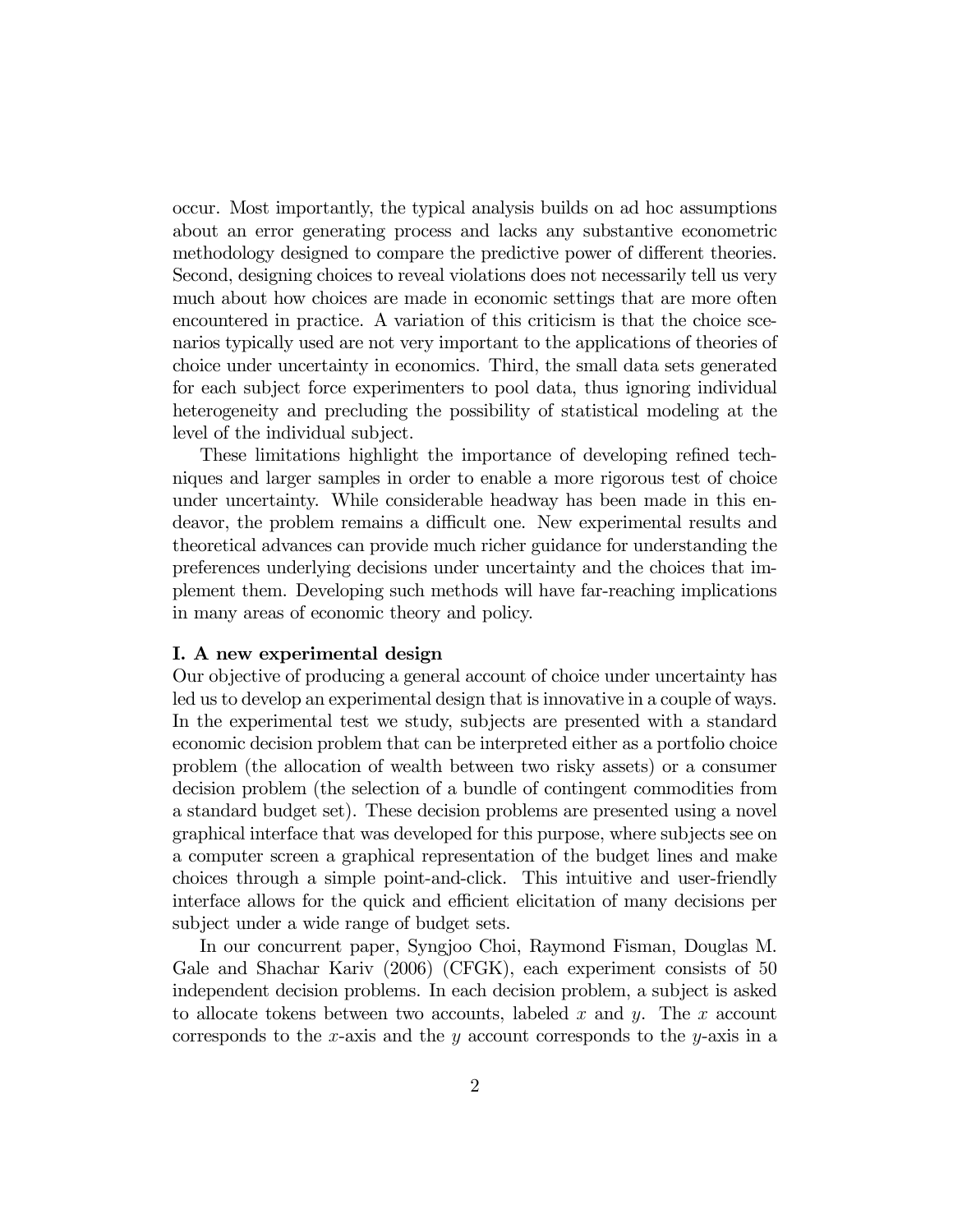occur. Most importantly, the typical analysis builds on ad hoc assumptions about an error generating process and lacks any substantive econometric methodology designed to compare the predictive power of different theories. Second, designing choices to reveal violations does not necessarily tell us very much about how choices are made in economic settings that are more often encountered in practice. A variation of this criticism is that the choice scenarios typically used are not very important to the applications of theories of choice under uncertainty in economics. Third, the small data sets generated for each subject force experimenters to pool data, thus ignoring individual heterogeneity and precluding the possibility of statistical modeling at the level of the individual subject.

These limitations highlight the importance of developing refined techniques and larger samples in order to enable a more rigorous test of choice under uncertainty. While considerable headway has been made in this endeavor, the problem remains a difficult one. New experimental results and theoretical advances can provide much richer guidance for understanding the preferences underlying decisions under uncertainty and the choices that implement them. Developing such methods will have far-reaching implications in many areas of economic theory and policy.

#### I. A new experimental design

Our objective of producing a general account of choice under uncertainty has led us to develop an experimental design that is innovative in a couple of ways. In the experimental test we study, subjects are presented with a standard economic decision problem that can be interpreted either as a portfolio choice problem (the allocation of wealth between two risky assets) or a consumer decision problem (the selection of a bundle of contingent commodities from a standard budget set). These decision problems are presented using a novel graphical interface that was developed for this purpose, where subjects see on a computer screen a graphical representation of the budget lines and make choices through a simple point-and-click. This intuitive and user-friendly interface allows for the quick and efficient elicitation of many decisions per subject under a wide range of budget sets.

In our concurrent paper, Syngjoo Choi, Raymond Fisman, Douglas M. Gale and Shachar Kariv (2006) (CFGK), each experiment consists of 50 independent decision problems. In each decision problem, a subject is asked to allocate tokens between two accounts, labeled x and y. The x account corresponds to the x-axis and the y account corresponds to the y-axis in a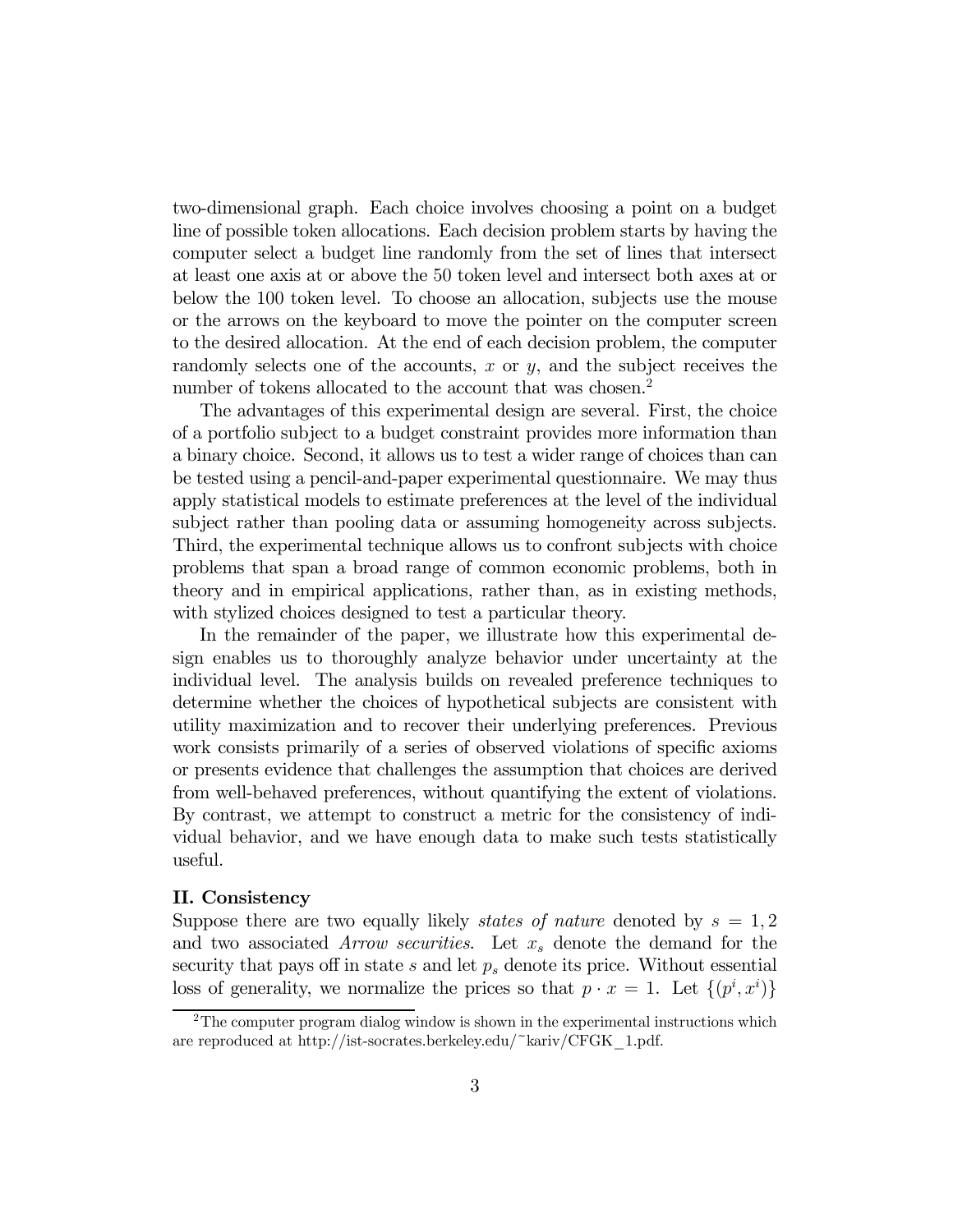two-dimensional graph. Each choice involves choosing a point on a budget line of possible token allocations. Each decision problem starts by having the computer select a budget line randomly from the set of lines that intersect at least one axis at or above the 50 token level and intersect both axes at or below the 100 token level. To choose an allocation, subjects use the mouse or the arrows on the keyboard to move the pointer on the computer screen to the desired allocation. At the end of each decision problem, the computer randomly selects one of the accounts, x or  $y$ , and the subject receives the number of tokens allocated to the account that was chosen.<sup>2</sup>

The advantages of this experimental design are several. First, the choice of a portfolio subject to a budget constraint provides more information than a binary choice. Second, it allows us to test a wider range of choices than can be tested using a pencil-and-paper experimental questionnaire. We may thus apply statistical models to estimate preferences at the level of the individual subject rather than pooling data or assuming homogeneity across subjects. Third, the experimental technique allows us to confront subjects with choice problems that span a broad range of common economic problems, both in theory and in empirical applications, rather than, as in existing methods, with stylized choices designed to test a particular theory.

In the remainder of the paper, we illustrate how this experimental design enables us to thoroughly analyze behavior under uncertainty at the individual level. The analysis builds on revealed preference techniques to determine whether the choices of hypothetical subjects are consistent with utility maximization and to recover their underlying preferences. Previous work consists primarily of a series of observed violations of specific axioms or presents evidence that challenges the assumption that choices are derived from well-behaved preferences, without quantifying the extent of violations. By contrast, we attempt to construct a metric for the consistency of individual behavior, and we have enough data to make such tests statistically useful.

## II. Consistency

Suppose there are two equally likely *states of nature* denoted by  $s = 1, 2$ and two associated Arrow securities. Let  $x_s$  denote the demand for the security that pays off in state  $s$  and let  $p_s$  denote its price. Without essential loss of generality, we normalize the prices so that  $p \cdot x = 1$ . Let  $\{(p^i, x^i)\}\$ 

 $2^2$ The computer program dialog window is shown in the experimental instructions which are reproduced at http://ist-socrates.berkeley.edu/~kariv/CFGK\_1.pdf.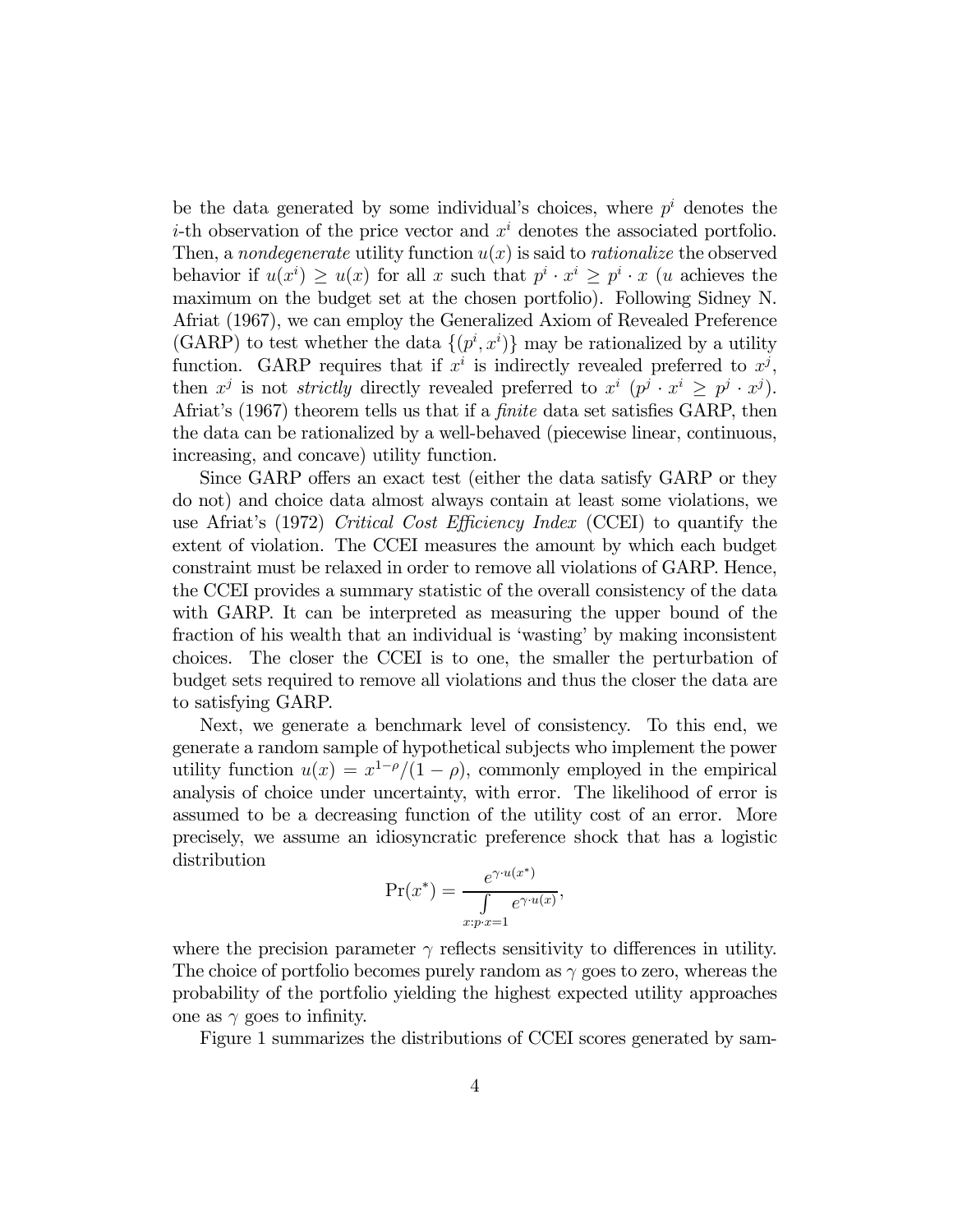be the data generated by some individual's choices, where  $p^i$  denotes the *i*-th observation of the price vector and  $x<sup>i</sup>$  denotes the associated portfolio. Then, a nondegenerate utility function  $u(x)$  is said to *rationalize* the observed behavior if  $u(x^i) \ge u(x)$  for all x such that  $p^i \cdot x^i \ge p^i \cdot x$  (u achieves the maximum on the budget set at the chosen portfolio). Following Sidney N. Afriat (1967), we can employ the Generalized Axiom of Revealed Preference (GARP) to test whether the data  $\{(p^i, x^i)\}$  may be rationalized by a utility function. GARP requires that if  $x^i$  is indirectly revealed preferred to  $x^j$ , then  $x^j$  is not *strictly* directly revealed preferred to  $x^i$   $(p^j \cdot x^i \geq p^j \cdot x^j)$ . Afriat's (1967) theorem tells us that if a finite data set satisfies GARP, then the data can be rationalized by a well-behaved (piecewise linear, continuous, increasing, and concave) utility function.

Since GARP offers an exact test (either the data satisfy GARP or they do not) and choice data almost always contain at least some violations, we use Afriat's (1972) Critical Cost Efficiency Index (CCEI) to quantify the extent of violation. The CCEI measures the amount by which each budget constraint must be relaxed in order to remove all violations of GARP. Hence, the CCEI provides a summary statistic of the overall consistency of the data with GARP. It can be interpreted as measuring the upper bound of the fraction of his wealth that an individual is 'wasting' by making inconsistent choices. The closer the CCEI is to one, the smaller the perturbation of budget sets required to remove all violations and thus the closer the data are to satisfying GARP.

Next, we generate a benchmark level of consistency. To this end, we generate a random sample of hypothetical subjects who implement the power utility function  $u(x) = x^{1-\rho}/(1-\rho)$ , commonly employed in the empirical analysis of choice under uncertainty, with error. The likelihood of error is assumed to be a decreasing function of the utility cost of an error. More precisely, we assume an idiosyncratic preference shock that has a logistic distribution

$$
\Pr(x^*) = \frac{e^{\gamma \cdot u(x^*)}}{\int \limits_{x:p \cdot x=1} e^{\gamma \cdot u(x)}},
$$

where the precision parameter  $\gamma$  reflects sensitivity to differences in utility. The choice of portfolio becomes purely random as  $\gamma$  goes to zero, whereas the probability of the portfolio yielding the highest expected utility approaches one as  $\gamma$  goes to infinity.

Figure 1 summarizes the distributions of CCEI scores generated by sam-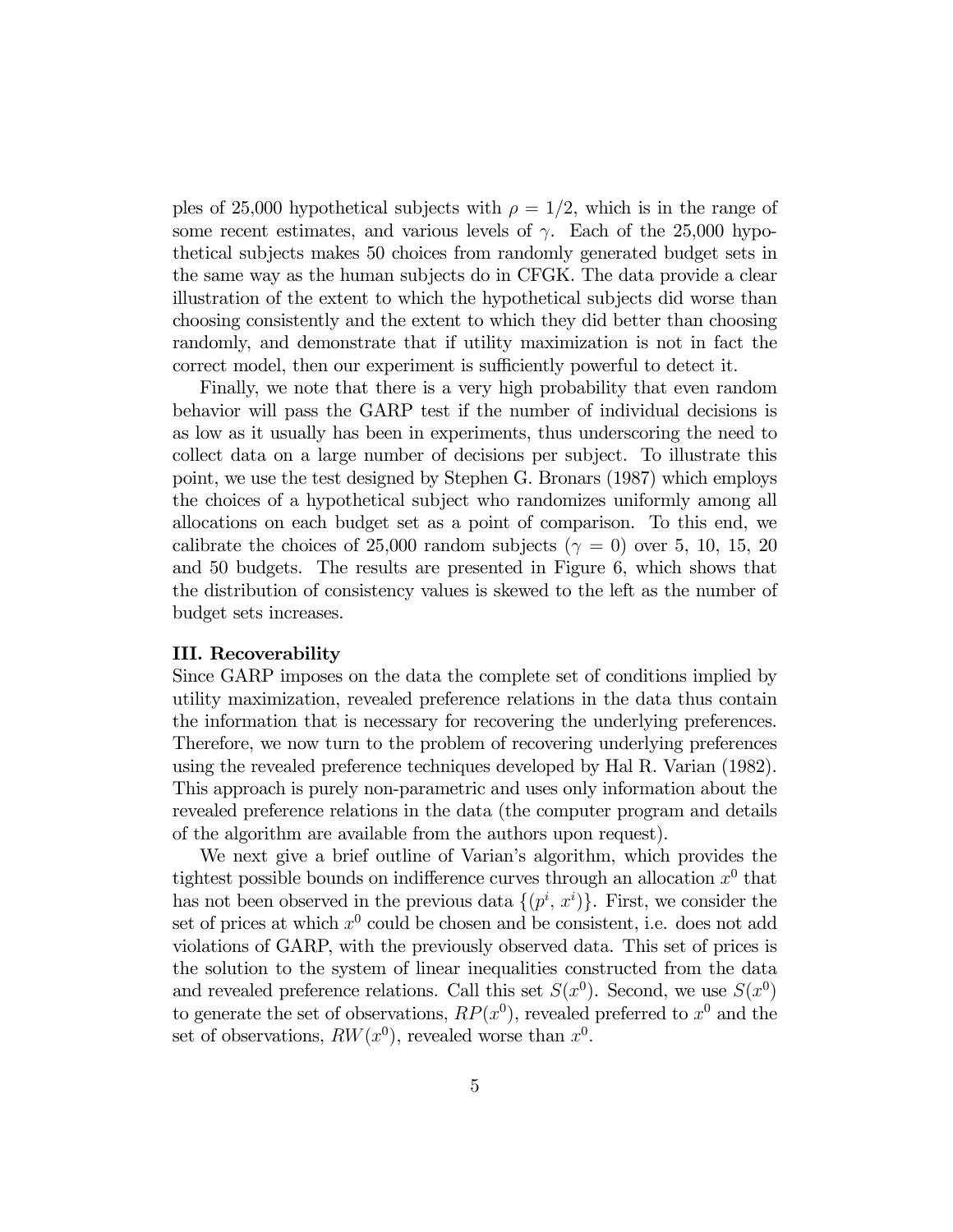ples of 25,000 hypothetical subjects with  $\rho = 1/2$ , which is in the range of some recent estimates, and various levels of  $\gamma$ . Each of the 25,000 hypothetical subjects makes 50 choices from randomly generated budget sets in the same way as the human subjects do in CFGK. The data provide a clear illustration of the extent to which the hypothetical subjects did worse than choosing consistently and the extent to which they did better than choosing randomly, and demonstrate that if utility maximization is not in fact the correct model, then our experiment is sufficiently powerful to detect it.

Finally, we note that there is a very high probability that even random behavior will pass the GARP test if the number of individual decisions is as low as it usually has been in experiments, thus underscoring the need to collect data on a large number of decisions per subject. To illustrate this point, we use the test designed by Stephen G. Bronars (1987) which employs the choices of a hypothetical subject who randomizes uniformly among all allocations on each budget set as a point of comparison. To this end, we calibrate the choices of 25,000 random subjects ( $\gamma = 0$ ) over 5, 10, 15, 20 and 50 budgets. The results are presented in Figure 6, which shows that the distribution of consistency values is skewed to the left as the number of budget sets increases.

## III. Recoverability

Since GARP imposes on the data the complete set of conditions implied by utility maximization, revealed preference relations in the data thus contain the information that is necessary for recovering the underlying preferences. Therefore, we now turn to the problem of recovering underlying preferences using the revealed preference techniques developed by Hal R. Varian (1982). This approach is purely non-parametric and uses only information about the revealed preference relations in the data (the computer program and details of the algorithm are available from the authors upon request).

We next give a brief outline of Varian's algorithm, which provides the tightest possible bounds on indifference curves through an allocation  $x^0$  that has not been observed in the previous data  $\{(p^i, x^i)\}\)$ . First, we consider the set of prices at which  $x^0$  could be chosen and be consistent, i.e. does not add violations of GARP, with the previously observed data. This set of prices is the solution to the system of linear inequalities constructed from the data and revealed preference relations. Call this set  $S(x^0)$ . Second, we use  $S(x^0)$ to generate the set of observations,  $RP(x^0)$ , revealed preferred to  $x^0$  and the set of observations,  $RW(x^0)$ , revealed worse than  $x^0$ .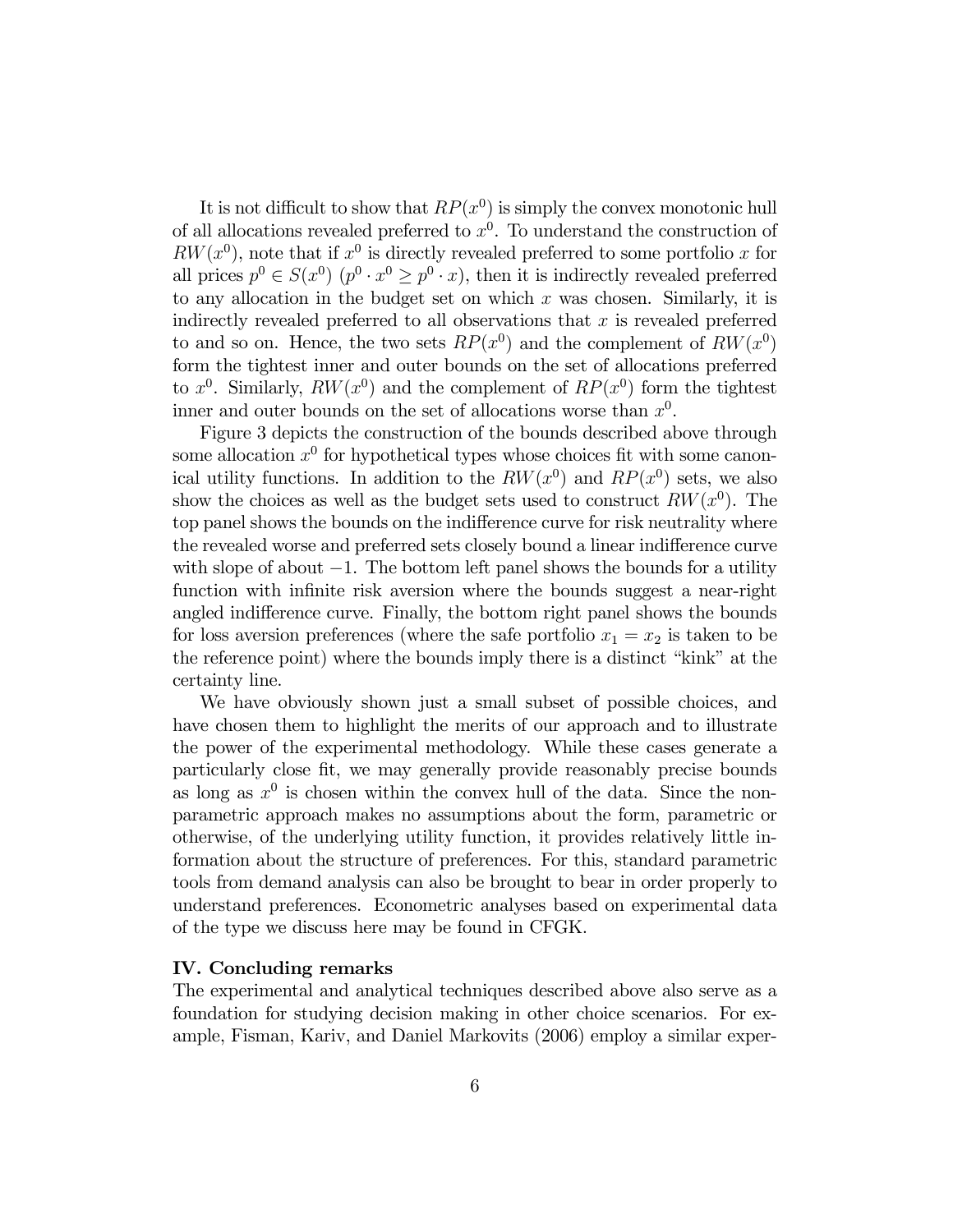It is not difficult to show that  $RP(x^0)$  is simply the convex monotonic hull of all allocations revealed preferred to  $x^0$ . To understand the construction of  $RW(x^0)$ , note that if  $x^0$  is directly revealed preferred to some portfolio x for all prices  $p^0 \in S(x^0)$   $(p^0 \cdot x^0 > p^0 \cdot x)$ , then it is indirectly revealed preferred to any allocation in the budget set on which  $x$  was chosen. Similarly, it is indirectly revealed preferred to all observations that  $x$  is revealed preferred to and so on. Hence, the two sets  $RP(x^0)$  and the complement of  $RW(x^0)$ form the tightest inner and outer bounds on the set of allocations preferred to  $x^0$ . Similarly,  $RW(x^0)$  and the complement of  $RP(x^0)$  form the tightest inner and outer bounds on the set of allocations worse than  $x^0$ .

Figure 3 depicts the construction of the bounds described above through some allocation  $x^0$  for hypothetical types whose choices fit with some canonical utility functions. In addition to the  $RW(x^0)$  and  $RP(x^0)$  sets, we also show the choices as well as the budget sets used to construct  $RW(x^0)$ . The top panel shows the bounds on the indifference curve for risk neutrality where the revealed worse and preferred sets closely bound a linear indifference curve with slope of about  $-1$ . The bottom left panel shows the bounds for a utility function with infinite risk aversion where the bounds suggest a near-right angled indifference curve. Finally, the bottom right panel shows the bounds for loss aversion preferences (where the safe portfolio  $x_1 = x_2$  is taken to be the reference point) where the bounds imply there is a distinct "kink" at the certainty line.

We have obviously shown just a small subset of possible choices, and have chosen them to highlight the merits of our approach and to illustrate the power of the experimental methodology. While these cases generate a particularly close fit, we may generally provide reasonably precise bounds as long as  $x^0$  is chosen within the convex hull of the data. Since the nonparametric approach makes no assumptions about the form, parametric or otherwise, of the underlying utility function, it provides relatively little information about the structure of preferences. For this, standard parametric tools from demand analysis can also be brought to bear in order properly to understand preferences. Econometric analyses based on experimental data of the type we discuss here may be found in CFGK.

### IV. Concluding remarks

The experimental and analytical techniques described above also serve as a foundation for studying decision making in other choice scenarios. For example, Fisman, Kariv, and Daniel Markovits (2006) employ a similar exper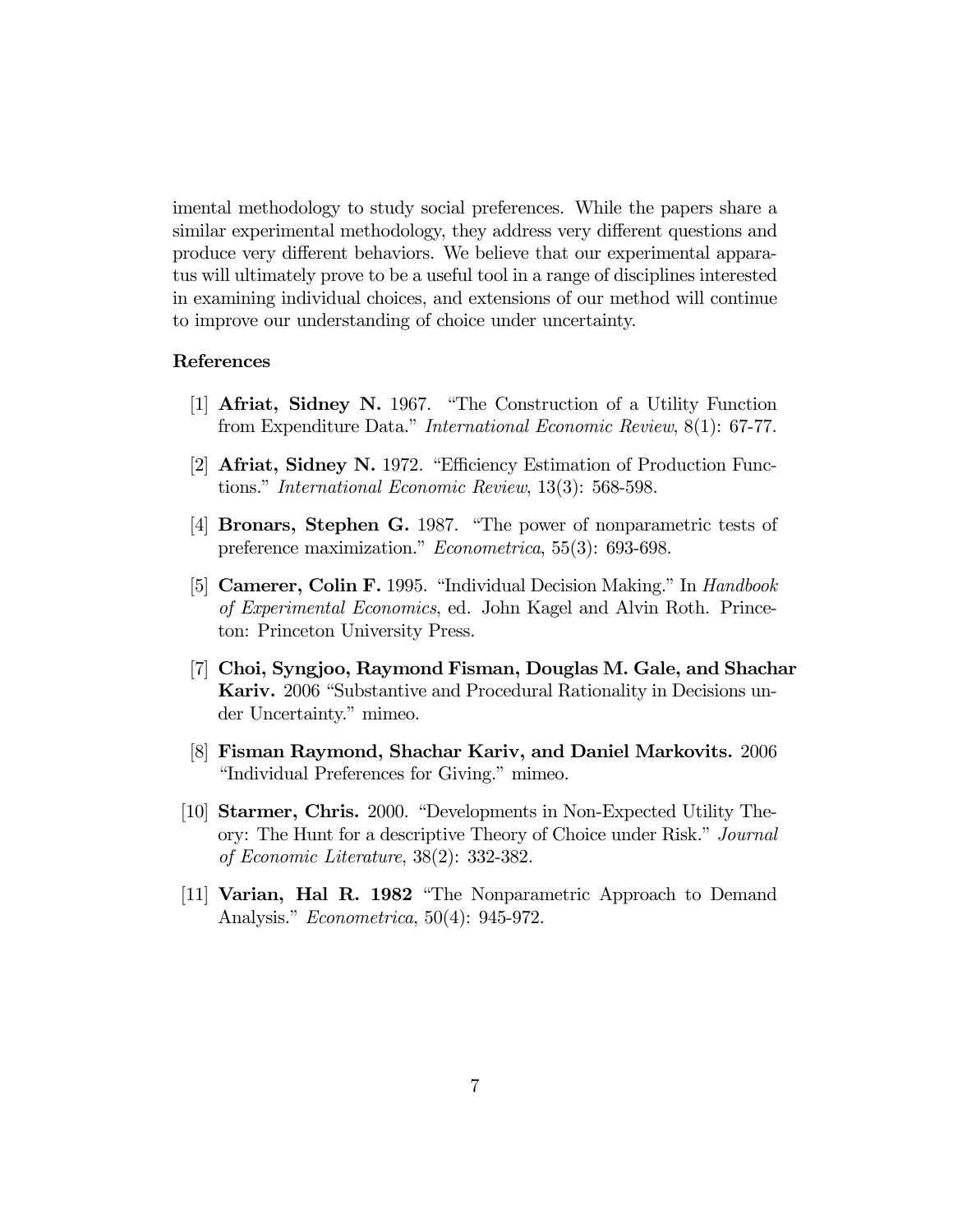imental methodology to study social preferences. While the papers share a similar experimental methodology, they address very different questions and produce very different behaviors. We believe that our experimental apparatus will ultimately prove to be a useful tool in a range of disciplines interested in examining individual choices, and extensions of our method will continue to improve our understanding of choice under uncertainty.

### References

- [1] Afriat, Sidney N. 1967. "The Construction of a Utility Function from Expenditure Data." International Economic Review, 8(1): 67-77.
- [2] Afriat, Sidney N. 1972. "Efficiency Estimation of Production Functions." International Economic Review, 13(3): 568-598.
- [4] Bronars, Stephen G. 1987. "The power of nonparametric tests of preference maximization." Econometrica, 55(3): 693-698.
- [5] Camerer, Colin F. 1995. "Individual Decision Making." In Handbook of Experimental Economics, ed. John Kagel and Alvin Roth. Princeton: Princeton University Press.
- [7] Choi, Syngjoo, Raymond Fisman, Douglas M. Gale, and Shachar Kariv. 2006 "Substantive and Procedural Rationality in Decisions under Uncertainty." mimeo.
- [8] Fisman Raymond, Shachar Kariv, and Daniel Markovits. 2006 "Individual Preferences for Giving." mimeo.
- [10] Starmer, Chris. 2000. "Developments in Non-Expected Utility Theory: The Hunt for a descriptive Theory of Choice under Risk." Journal of Economic Literature, 38(2): 332-382.
- [11] Varian, Hal R. 1982 "The Nonparametric Approach to Demand Analysis." Econometrica, 50(4): 945-972.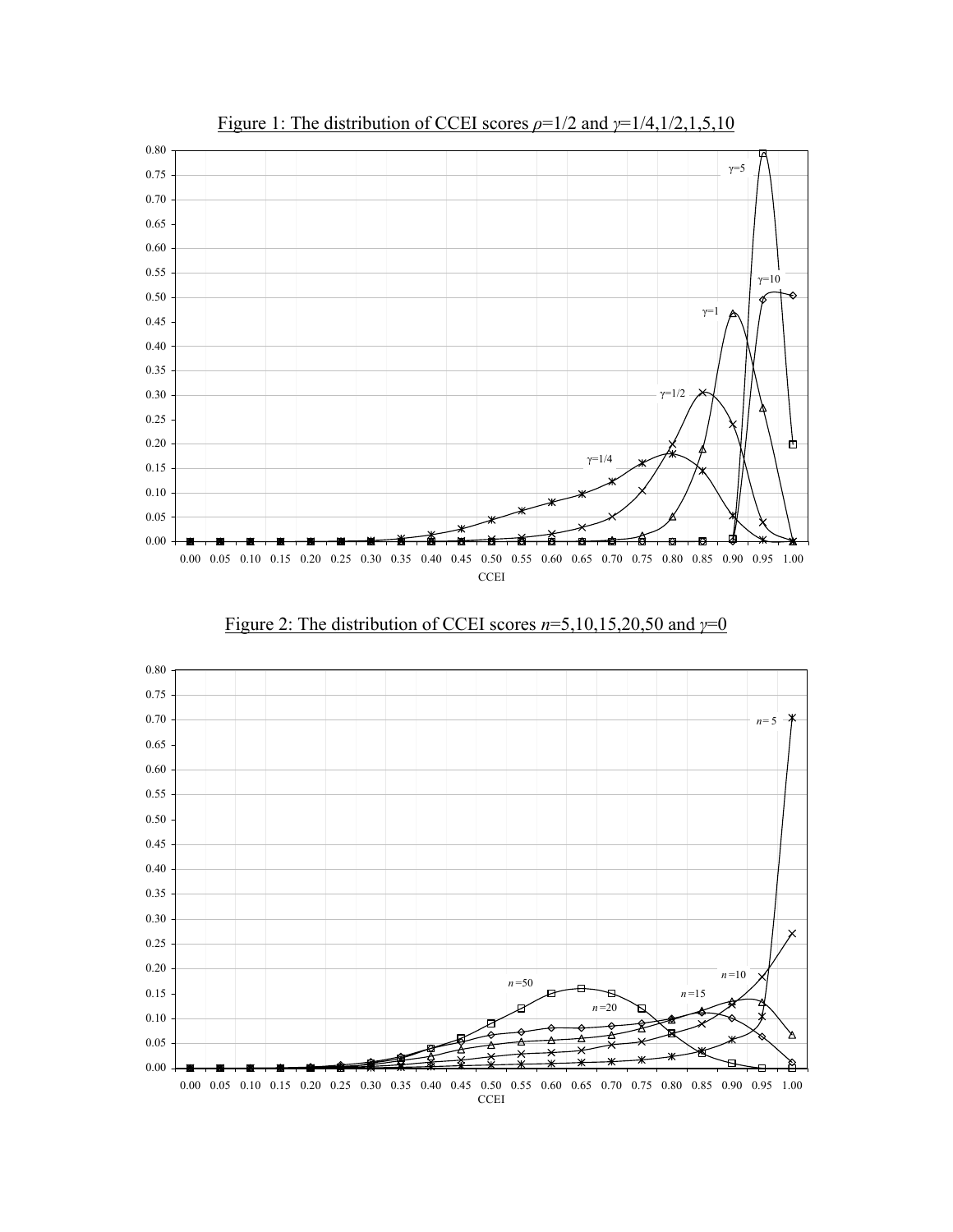

Figure 1: The distribution of CCEI scores *ρ*=1/2 and *γ*=1/4,1/2,1,5,10